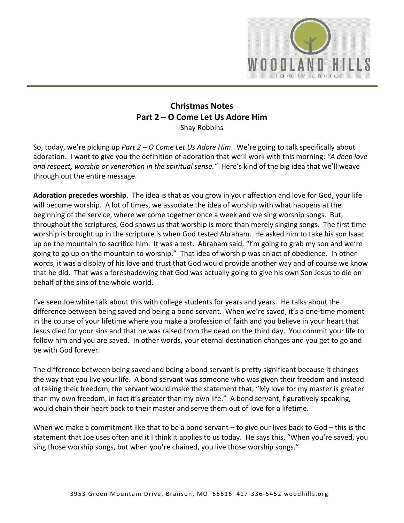

# **Christmas Notes Part 2 – O Come Let Us Adore Him**  Shay Robbins

So, today, we're picking up *Part 2 – O Come Let Us Adore Him*. We're going to talk specifically about adoration. I want to give you the definition of adoration that we'll work with this morning: *"A deep love and respect, worship or veneration in the spiritual sense."* Here's kind of the big idea that we'll weave through out the entire message.

**Adoration precedes worship**. The idea is that as you grow in your affection and love for God, your life will become worship. A lot of times, we associate the idea of worship with what happens at the beginning of the service, where we come together once a week and we sing worship songs. But, throughout the scriptures, God shows us that worship is more than merely singing songs. The first time worship is brought up in the scripture is when God tested Abraham. He asked him to take his son Isaac up on the mountain to sacrifice him. It was a test. Abraham said, "I'm going to grab my son and we're going to go up on the mountain to worship." That idea of worship was an act of obedience. In other words, it was a display of his love and trust that God would provide another way and of course we know that he did. That was a foreshadowing that God was actually going to give his own Son Jesus to die on behalf of the sins of the whole world.

I've seen Joe white talk about this with college students for years and years. He talks about the difference between being saved and being a bond servant. When we're saved, it's a one-time moment in the course of your lifetime where you make a profession of faith and you believe in your heart that Jesus died for your sins and that he was raised from the dead on the third day. You commit your life to follow him and you are saved. In other words, your eternal destination changes and you get to go and be with God forever.

The difference between being saved and being a bond servant is pretty significant because it changes the way that you live your life. A bond servant was someone who was given their freedom and instead of taking their freedom, the servant would make the statement that, "My love for my master is greater than my own freedom, in fact it's greater than my own life." A bond servant, figuratively speaking, would chain their heart back to their master and serve them out of love for a lifetime.

When we make a commitment like that to be a bond servant – to give our lives back to God – this is the statement that Joe uses often and it I think it applies to us today. He says this, "When you're saved, you sing those worship songs, but when you're chained, you live those worship songs."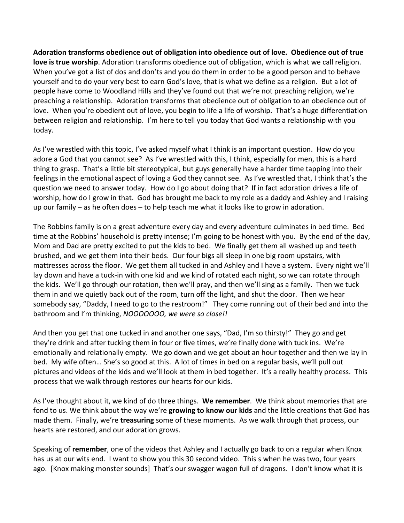**Adoration transforms obedience out of obligation into obedience out of love. Obedience out of true love is true worship**. Adoration transforms obedience out of obligation, which is what we call religion. When you've got a list of dos and don'ts and you do them in order to be a good person and to behave yourself and to do your very best to earn God's love, that is what we define as a religion. But a lot of people have come to Woodland Hills and they've found out that we're not preaching religion, we're preaching a relationship. Adoration transforms that obedience out of obligation to an obedience out of love. When you're obedient out of love, you begin to life a life of worship. That's a huge differentiation between religion and relationship. I'm here to tell you today that God wants a relationship with you today.

As I've wrestled with this topic, I've asked myself what I think is an important question. How do you adore a God that you cannot see? As I've wrestled with this, I think, especially for men, this is a hard thing to grasp. That's a little bit stereotypical, but guys generally have a harder time tapping into their feelings in the emotional aspect of loving a God they cannot see. As I've wrestled that, I think that's the question we need to answer today. How do I go about doing that? If in fact adoration drives a life of worship, how do I grow in that. God has brought me back to my role as a daddy and Ashley and I raising up our family – as he often does – to help teach me what it looks like to grow in adoration.

The Robbins family is on a great adventure every day and every adventure culminates in bed time. Bed time at the Robbins' household is pretty intense; I'm going to be honest with you. By the end of the day, Mom and Dad are pretty excited to put the kids to bed. We finally get them all washed up and teeth brushed, and we get them into their beds. Our four bigs all sleep in one big room upstairs, with mattresses across the floor. We get them all tucked in and Ashley and I have a system. Every night we'll lay down and have a tuck-in with one kid and we kind of rotated each night, so we can rotate through the kids. We'll go through our rotation, then we'll pray, and then we'll sing as a family. Then we tuck them in and we quietly back out of the room, turn off the light, and shut the door. Then we hear somebody say, "Daddy, I need to go to the restroom!" They come running out of their bed and into the bathroom and I'm thinking, *NOOOOOOO, we were so close!!*

And then you get that one tucked in and another one says, "Dad, I'm so thirsty!" They go and get they're drink and after tucking them in four or five times, we're finally done with tuck ins. We're emotionally and relationally empty. We go down and we get about an hour together and then we lay in bed. My wife often… She's so good at this. A lot of times in bed on a regular basis, we'll pull out pictures and videos of the kids and we'll look at them in bed together. It's a really healthy process. This process that we walk through restores our hearts for our kids.

As I've thought about it, we kind of do three things. **We remember**. We think about memories that are fond to us. We think about the way we're **growing to know our kids** and the little creations that God has made them. Finally, we're **treasuring** some of these moments. As we walk through that process, our hearts are restored, and our adoration grows.

Speaking of **remember**, one of the videos that Ashley and I actually go back to on a regular when Knox has us at our wits end. I want to show you this 30 second video. This s when he was two, four years ago. [Knox making monster sounds] That's our swagger wagon full of dragons. I don't know what it is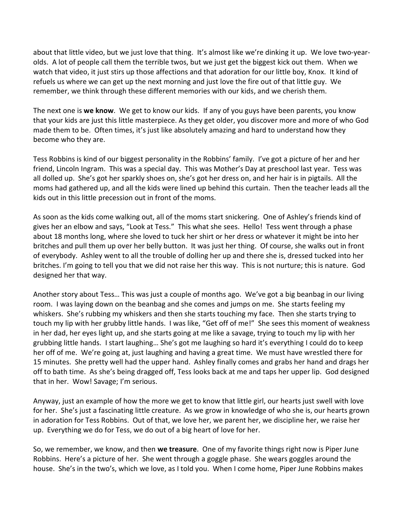about that little video, but we just love that thing. It's almost like we're dinking it up. We love two-yearolds. A lot of people call them the terrible twos, but we just get the biggest kick out them. When we watch that video, it just stirs up those affections and that adoration for our little boy, Knox. It kind of refuels us where we can get up the next morning and just love the fire out of that little guy. We remember, we think through these different memories with our kids, and we cherish them.

The next one is **we know**. We get to know our kids. If any of you guys have been parents, you know that your kids are just this little masterpiece. As they get older, you discover more and more of who God made them to be. Often times, it's just like absolutely amazing and hard to understand how they become who they are.

Tess Robbins is kind of our biggest personality in the Robbins' family. I've got a picture of her and her friend, Lincoln Ingram. This was a special day. This was Mother's Day at preschool last year. Tess was all dolled up. She's got her sparkly shoes on, she's got her dress on, and her hair is in pigtails. All the moms had gathered up, and all the kids were lined up behind this curtain. Then the teacher leads all the kids out in this little precession out in front of the moms.

As soon as the kids come walking out, all of the moms start snickering. One of Ashley's friends kind of gives her an elbow and says, "Look at Tess." This what she sees. Hello! Tess went through a phase about 18 months long, where she loved to tuck her shirt or her dress or whatever it might be into her britches and pull them up over her belly button. It was just her thing. Of course, she walks out in front of everybody. Ashley went to all the trouble of dolling her up and there she is, dressed tucked into her britches. I'm going to tell you that we did not raise her this way. This is not nurture; this is nature. God designed her that way.

Another story about Tess… This was just a couple of months ago. We've got a big beanbag in our living room. I was laying down on the beanbag and she comes and jumps on me. She starts feeling my whiskers. She's rubbing my whiskers and then she starts touching my face. Then she starts trying to touch my lip with her grubby little hands. I was like, "Get off of me!" She sees this moment of weakness in her dad, her eyes light up, and she starts going at me like a savage, trying to touch my lip with her grubbing little hands. I start laughing… She's got me laughing so hard it's everything I could do to keep her off of me. We're going at, just laughing and having a great time. We must have wrestled there for 15 minutes. She pretty well had the upper hand. Ashley finally comes and grabs her hand and drags her off to bath time. As she's being dragged off, Tess looks back at me and taps her upper lip. God designed that in her. Wow! Savage; I'm serious.

Anyway, just an example of how the more we get to know that little girl, our hearts just swell with love for her. She's just a fascinating little creature. As we grow in knowledge of who she is, our hearts grown in adoration for Tess Robbins. Out of that, we love her, we parent her, we discipline her, we raise her up. Everything we do for Tess, we do out of a big heart of love for her.

So, we remember, we know, and then **we treasure**. One of my favorite things right now is Piper June Robbins. Here's a picture of her. She went through a goggle phase. She wears goggles around the house. She's in the two's, which we love, as I told you. When I come home, Piper June Robbins makes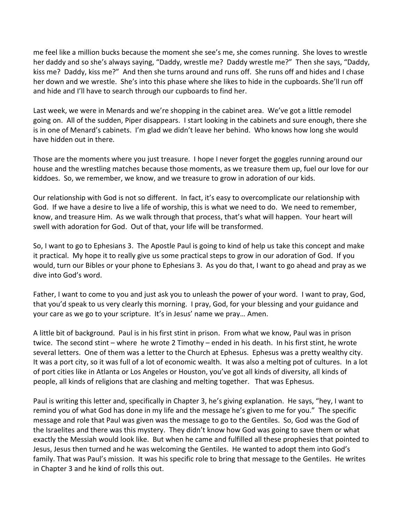me feel like a million bucks because the moment she see's me, she comes running. She loves to wrestle her daddy and so she's always saying, "Daddy, wrestle me? Daddy wrestle me?" Then she says, "Daddy, kiss me? Daddy, kiss me?" And then she turns around and runs off. She runs off and hides and I chase her down and we wrestle. She's into this phase where she likes to hide in the cupboards. She'll run off and hide and I'll have to search through our cupboards to find her.

Last week, we were in Menards and we're shopping in the cabinet area. We've got a little remodel going on. All of the sudden, Piper disappears. I start looking in the cabinets and sure enough, there she is in one of Menard's cabinets. I'm glad we didn't leave her behind. Who knows how long she would have hidden out in there.

Those are the moments where you just treasure. I hope I never forget the goggles running around our house and the wrestling matches because those moments, as we treasure them up, fuel our love for our kiddoes. So, we remember, we know, and we treasure to grow in adoration of our kids.

Our relationship with God is not so different. In fact, it's easy to overcomplicate our relationship with God. If we have a desire to live a life of worship, this is what we need to do. We need to remember, know, and treasure Him. As we walk through that process, that's what will happen. Your heart will swell with adoration for God. Out of that, your life will be transformed.

So, I want to go to Ephesians 3. The Apostle Paul is going to kind of help us take this concept and make it practical. My hope it to really give us some practical steps to grow in our adoration of God. If you would, turn our Bibles or your phone to Ephesians 3. As you do that, I want to go ahead and pray as we dive into God's word.

Father, I want to come to you and just ask you to unleash the power of your word. I want to pray, God, that you'd speak to us very clearly this morning. I pray, God, for your blessing and your guidance and your care as we go to your scripture. It's in Jesus' name we pray… Amen.

A little bit of background. Paul is in his first stint in prison. From what we know, Paul was in prison twice. The second stint – where he wrote 2 Timothy – ended in his death. In his first stint, he wrote several letters. One of them was a letter to the Church at Ephesus. Ephesus was a pretty wealthy city. It was a port city, so it was full of a lot of economic wealth. It was also a melting pot of cultures. In a lot of port cities like in Atlanta or Los Angeles or Houston, you've got all kinds of diversity, all kinds of people, all kinds of religions that are clashing and melting together. That was Ephesus.

Paul is writing this letter and, specifically in Chapter 3, he's giving explanation. He says, "hey, I want to remind you of what God has done in my life and the message he's given to me for you." The specific message and role that Paul was given was the message to go to the Gentiles. So, God was the God of the Israelites and there was this mystery. They didn't know how God was going to save them or what exactly the Messiah would look like. But when he came and fulfilled all these prophesies that pointed to Jesus, Jesus then turned and he was welcoming the Gentiles. He wanted to adopt them into God's family. That was Paul's mission. It was his specific role to bring that message to the Gentiles. He writes in Chapter 3 and he kind of rolls this out.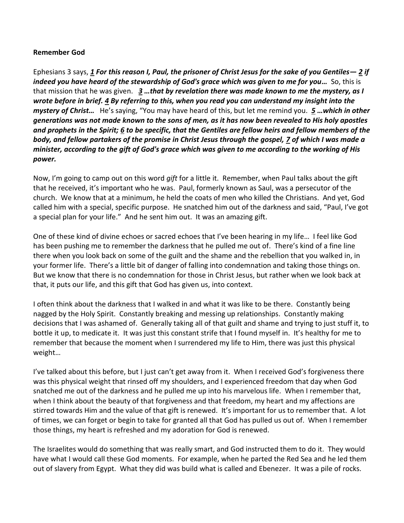#### **Remember God**

Ephesians 3 says, *[1](https://www.studylight.org/desk/?q=eph%203:1&t1=en_nas&sr=1) For this reason I, Paul, the prisoner of Christ Jesus for the sake of you Gentiles— [2](https://www.studylight.org/desk/?q=eph%203:2&t1=en_nas&sr=1) if indeed you have heard of the stewardship of God's grace which was given to me for you…* So, this is that mission that he was given. *[3](https://www.studylight.org/desk/?q=eph%203:3&t1=en_nas&sr=1) …that by revelation there was made known to me the mystery, as I wrote before in brief. [4](https://www.studylight.org/desk/?q=eph%203:4&t1=en_nas&sr=1) By referring to this, when you read you can understand my insight into the mystery of Christ…* He's saying, "You may have heard of this, but let me remind you. *[5](https://www.studylight.org/desk/?q=eph%203:5&t1=en_nas&sr=1) …which in other generations was not made known to the sons of men, as it has now been revealed to His holy apostles and prophets in the Spirit; [6](https://www.studylight.org/desk/?q=eph%203:6&t1=en_nas&sr=1) to be specific, that the Gentiles are fellow heirs and fellow members of the body, and fellow partakers of the promise in Christ Jesus through the gospel, [7](https://www.studylight.org/desk/?q=eph%203:7&t1=en_nas&sr=1) of which I was made a minister, according to the gift of God's grace which was given to me according to the working of His power.* 

Now, I'm going to camp out on this word *gift* for a little it. Remember, when Paul talks about the gift that he received, it's important who he was. Paul, formerly known as Saul, was a persecutor of the church. We know that at a minimum, he held the coats of men who killed the Christians. And yet, God called him with a special, specific purpose. He snatched him out of the darkness and said, "Paul, I've got a special plan for your life." And he sent him out. It was an amazing gift.

One of these kind of divine echoes or sacred echoes that I've been hearing in my life… I feel like God has been pushing me to remember the darkness that he pulled me out of. There's kind of a fine line there when you look back on some of the guilt and the shame and the rebellion that you walked in, in your former life. There's a little bit of danger of falling into condemnation and taking those things on. But we know that there is no condemnation for those in Christ Jesus, but rather when we look back at that, it puts our life, and this gift that God has given us, into context.

I often think about the darkness that I walked in and what it was like to be there. Constantly being nagged by the Holy Spirit. Constantly breaking and messing up relationships. Constantly making decisions that I was ashamed of. Generally taking all of that guilt and shame and trying to just stuff it, to bottle it up, to medicate it. It was just this constant strife that I found myself in. It's healthy for me to remember that because the moment when I surrendered my life to Him, there was just this physical weight…

I've talked about this before, but I just can't get away from it. When I received God's forgiveness there was this physical weight that rinsed off my shoulders, and I experienced freedom that day when God snatched me out of the darkness and he pulled me up into his marvelous life. When I remember that, when I think about the beauty of that forgiveness and that freedom, my heart and my affections are stirred towards Him and the value of that gift is renewed. It's important for us to remember that. A lot of times, we can forget or begin to take for granted all that God has pulled us out of. When I remember those things, my heart is refreshed and my adoration for God is renewed.

The Israelites would do something that was really smart, and God instructed them to do it. They would have what I would call these God moments. For example, when he parted the Red Sea and he led them out of slavery from Egypt. What they did was build what is called and Ebenezer. It was a pile of rocks.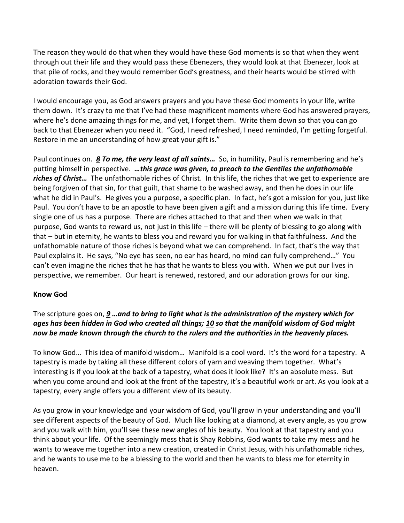The reason they would do that when they would have these God moments is so that when they went through out their life and they would pass these Ebenezers, they would look at that Ebenezer, look at that pile of rocks, and they would remember God's greatness, and their hearts would be stirred with adoration towards their God.

I would encourage you, as God answers prayers and you have these God moments in your life, write them down. It's crazy to me that I've had these magnificent moments where God has answered prayers, where he's done amazing things for me, and yet, I forget them. Write them down so that you can go back to that Ebenezer when you need it. "God, I need refreshed, I need reminded, I'm getting forgetful. Restore in me an understanding of how great your gift is."

Paul continues on. *[8](https://www.studylight.org/desk/?q=eph%203:8&t1=en_nas&sr=1) To me, the very least of all saints…* So, in humility, Paul is remembering and he's putting himself in perspective. *…this grace was given, to preach to the Gentiles the unfathomable riches of Christ…* The unfathomable riches of Christ. In this life, the riches that we get to experience are being forgiven of that sin, for that guilt, that shame to be washed away, and then he does in our life what he did in Paul's. He gives you a purpose, a specific plan. In fact, he's got a mission for you, just like Paul. You don't have to be an apostle to have been given a gift and a mission during this life time. Every single one of us has a purpose. There are riches attached to that and then when we walk in that purpose, God wants to reward us, not just in this life – there will be plenty of blessing to go along with that – but in eternity, he wants to bless you and reward you for walking in that faithfulness. And the unfathomable nature of those riches is beyond what we can comprehend. In fact, that's the way that Paul explains it. He says, "No eye has seen, no ear has heard, no mind can fully comprehend…" You can't even imagine the riches that he has that he wants to bless you with. When we put our lives in perspective, we remember. Our heart is renewed, restored, and our adoration grows for our king.

## **Know God**

## The scripture goes on, *[9](https://www.studylight.org/desk/?q=eph%203:9&t1=en_nas&sr=1) …and to bring to light what is the administration of the mystery which for ages has been hidden in God who created all things; [10](https://www.studylight.org/desk/?q=eph%203:10&t1=en_nas&sr=1) so that the manifold wisdom of God might now be made known through the church to the rulers and the authorities in the heavenly places.*

To know God… This idea of manifold wisdom… Manifold is a cool word. It's the word for a tapestry. A tapestry is made by taking all these different colors of yarn and weaving them together. What's interesting is if you look at the back of a tapestry, what does it look like? It's an absolute mess. But when you come around and look at the front of the tapestry, it's a beautiful work or art. As you look at a tapestry, every angle offers you a different view of its beauty.

As you grow in your knowledge and your wisdom of God, you'll grow in your understanding and you'll see different aspects of the beauty of God. Much like looking at a diamond, at every angle, as you grow and you walk with him, you'll see these new angles of his beauty. You look at that tapestry and you think about your life. Of the seemingly mess that is Shay Robbins, God wants to take my mess and he wants to weave me together into a new creation, created in Christ Jesus, with his unfathomable riches, and he wants to use me to be a blessing to the world and then he wants to bless me for eternity in heaven.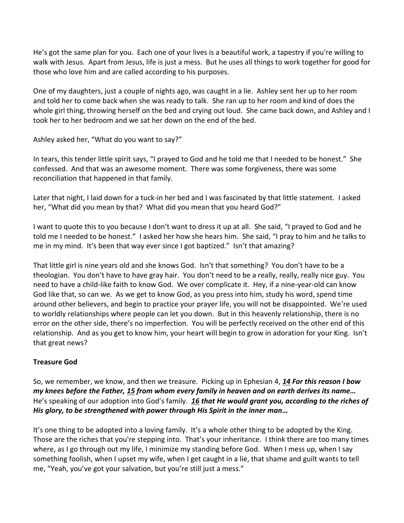He's got the same plan for you. Each one of your lives is a beautiful work, a tapestry if you're willing to walk with Jesus. Apart from Jesus, life is just a mess. But he uses all things to work together for good for those who love him and are called according to his purposes.

One of my daughters, just a couple of nights ago, was caught in a lie. Ashley sent her up to her room and told her to come back when she was ready to talk. She ran up to her room and kind of does the whole girl thing, throwing herself on the bed and crying out loud. She came back down, and Ashley and I took her to her bedroom and we sat her down on the end of the bed.

Ashley asked her, "What do you want to say?"

In tears, this tender little spirit says, "I prayed to God and he told me that I needed to be honest." She confessed. And that was an awesome moment. There was some forgiveness, there was some reconciliation that happened in that family.

Later that night, I laid down for a tuck-in her bed and I was fascinated by that little statement. I asked her, "What did you mean by that? What did you mean that you heard God?"

I want to quote this to you because I don't want to dress it up at all. She said, "I prayed to God and he told me I needed to be honest." I asked her how she hears him. She said, "I pray to him and he talks to me in my mind. It's been that way ever since I got baptized." Isn't that amazing?

That little girl is nine years old and she knows God. Isn't that something? You don't have to be a theologian. You don't have to have gray hair. You don't need to be a really, really, really nice guy. You need to have a child-like faith to know God. We over complicate it. Hey, if a nine-year-old can know God like that, so can we. As we get to know God, as you press into him, study his word, spend time around other believers, and begin to practice your prayer life, you will not be disappointed. We're used to worldly relationships where people can let you down. But in this heavenly relationship, there is no error on the other side, there's no imperfection. You will be perfectly received on the other end of this relationship. And as you get to know him, your heart will begin to grow in adoration for your King. Isn't that great news?

# **Treasure God**

So, we remember, we know, and then we treasure. Picking up in Ephesian 4, *[14](https://www.studylight.org/desk/?q=eph%203:14&t1=en_nas&sr=1) For this reason I bow my knees before the Father, [15](https://www.studylight.org/desk/?q=eph%203:15&t1=en_nas&sr=1) from whom every family in heaven and on earth derives its name…* He's speaking of our adoption into God's family. *[16](https://www.studylight.org/desk/?q=eph%203:16&t1=en_nas&sr=1) that He would grant you, according to the riches of His glory, to be strengthened with power through His Spirit in the inner man…*

It's one thing to be adopted into a loving family. It's a whole other thing to be adopted by the King. Those are the riches that you're stepping into. That's your inheritance. I think there are too many times where, as I go through out my life, I minimize my standing before God. When I mess up, when I say something foolish, when I upset my wife, when I get caught in a lie, that shame and guilt wants to tell me, "Yeah, you've got your salvation, but you're still just a mess."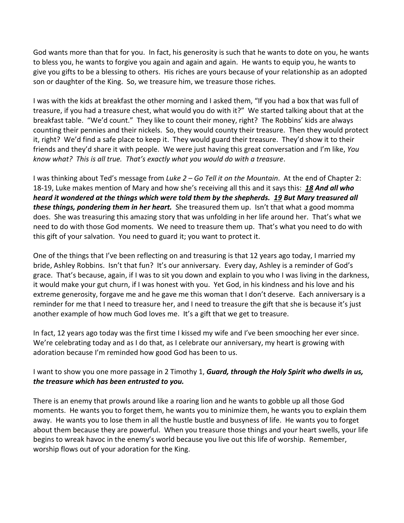God wants more than that for you. In fact, his generosity is such that he wants to dote on you, he wants to bless you, he wants to forgive you again and again and again. He wants to equip you, he wants to give you gifts to be a blessing to others. His riches are yours because of your relationship as an adopted son or daughter of the King. So, we treasure him, we treasure those riches.

I was with the kids at breakfast the other morning and I asked them, "If you had a box that was full of treasure, if you had a treasure chest, what would you do with it?" We started talking about that at the breakfast table. "We'd count." They like to count their money, right? The Robbins' kids are always counting their pennies and their nickels. So, they would county their treasure. Then they would protect it, right? We'd find a safe place to keep it. They would guard their treasure. They'd show it to their friends and they'd share it with people. We were just having this great conversation and I'm like, *You know what? This is all true. That's exactly what you would do with a treasure*.

I was thinking about Ted's message from *Luke 2 – Go Tell it on the Mountain*. At the end of Chapter 2: 18-19, Luke makes mention of Mary and how she's receiving all this and it says this: *[18](https://www.studylight.org/desk/?q=lu%202:18&t1=en_nas&sr=1) And all who heard it wondered at the things which were told them by the shepherds. [19](https://www.studylight.org/desk/?q=lu%202:19&t1=en_nas&sr=1) But Mary treasured all these things, pondering them in her heart.* She treasured them up. Isn't that what a good momma does. She was treasuring this amazing story that was unfolding in her life around her. That's what we need to do with those God moments. We need to treasure them up. That's what you need to do with this gift of your salvation. You need to guard it; you want to protect it.

One of the things that I've been reflecting on and treasuring is that 12 years ago today, I married my bride, Ashley Robbins. Isn't that fun? It's our anniversary. Every day, Ashley is a reminder of God's grace. That's because, again, if I was to sit you down and explain to you who I was living in the darkness, it would make your gut churn, if I was honest with you. Yet God, in his kindness and his love and his extreme generosity, forgave me and he gave me this woman that I don't deserve. Each anniversary is a reminder for me that I need to treasure her, and I need to treasure the gift that she is because it's just another example of how much God loves me. It's a gift that we get to treasure.

In fact, 12 years ago today was the first time I kissed my wife and I've been smooching her ever since. We're celebrating today and as I do that, as I celebrate our anniversary, my heart is growing with adoration because I'm reminded how good God has been to us.

## I want to show you one more passage in 2 Timothy 1, *Guard, through the Holy Spirit who dwells in us, the treasure which has been entrusted to you.*

There is an enemy that prowls around like a roaring lion and he wants to gobble up all those God moments. He wants you to forget them, he wants you to minimize them, he wants you to explain them away. He wants you to lose them in all the hustle bustle and busyness of life. He wants you to forget about them because they are powerful. When you treasure those things and your heart swells, your life begins to wreak havoc in the enemy's world because you live out this life of worship. Remember, worship flows out of your adoration for the King.